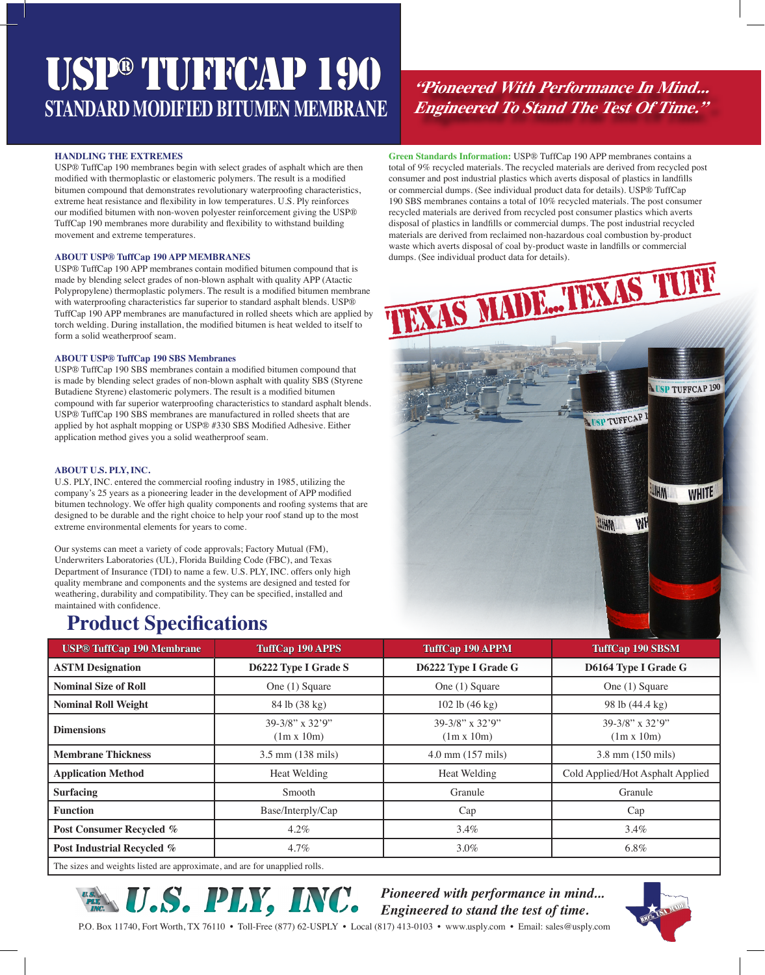# USP® TUFFCAP 190 **STANDARD MODIFIED BITUMEN MEMBRANE**

### **HANDLING THE EXTREMES**

USP® TuffCap 190 membranes begin with select grades of asphalt which are then modified with thermoplastic or elastomeric polymers. The result is a modified bitumen compound that demonstrates revolutionary waterproofing characteristics, extreme heat resistance and flexibility in low temperatures. U.S. Ply reinforces our modified bitumen with non-woven polyester reinforcement giving the USP® TuffCap 190 membranes more durability and flexibility to withstand building movement and extreme temperatures.

### **ABOUT USP® TuffCap 190 APP MEMBRANES**

USP® TuffCap 190 APP membranes contain modified bitumen compound that is made by blending select grades of non-blown asphalt with quality APP (Atactic Polypropylene) thermoplastic polymers. The result is a modified bitumen membrane with waterproofing characteristics far superior to standard asphalt blends. USP® TuffCap 190 APP membranes are manufactured in rolled sheets which are applied by torch welding. During installation, the modified bitumen is heat welded to itself to form a solid weatherproof seam.

### **ABOUT USP® TuffCap 190 SBS Membranes**

USP® TuffCap 190 SBS membranes contain a modified bitumen compound that is made by blending select grades of non-blown asphalt with quality SBS (Styrene Butadiene Styrene) elastomeric polymers. The result is a modified bitumen compound with far superior waterproofing characteristics to standard asphalt blends. USP® TuffCap 190 SBS membranes are manufactured in rolled sheets that are applied by hot asphalt mopping or USP® #330 SBS Modified Adhesive. Either application method gives you a solid weatherproof seam.

### **ABOUT U.S. PLY, INC.**

U.S. PLY, INC. entered the commercial roofing industry in 1985, utilizing the company's 25 years as a pioneering leader in the development of APP modified bitumen technology. We offer high quality components and roofing systems that are designed to be durable and the right choice to help your roof stand up to the most extreme environmental elements for years to come.

Our systems can meet a variety of code approvals; Factory Mutual (FM), Underwriters Laboratories (UL), Florida Building Code (FBC), and Texas Department of Insurance (TDI) to name a few. U.S. PLY, INC. offers only high quality membrane and components and the systems are designed and tested for weathering, durability and compatibility. They can be specified, installed and maintained with confidence.

### **Product Specifications**

**"Pioneered With Performance In Mind... Engineered To Stand The Test Of Time."**

**Green Standards Information:** USP® TuffCap 190 APP membranes contains a total of 9% recycled materials. The recycled materials are derived from recycled post consumer and post industrial plastics which averts disposal of plastics in landfills or commercial dumps. (See individual product data for details). USP® TuffCap 190 SBS membranes contains a total of 10% recycled materials. The post consumer recycled materials are derived from recycled post consumer plastics which averts disposal of plastics in landfills or commercial dumps. The post industrial recycled materials are derived from reclaimed non-hazardous coal combustion by-product waste which averts disposal of coal by-product waste in landfills or commercial dumps. (See individual product data for details).



| <b>USP® TuffCap 190 Membrane</b> | <b>TuffCap 190 APPS</b>                    | <b>TuffCap 190 APPM</b>                    | <b>TuffCap 190 SBSM</b>              |
|----------------------------------|--------------------------------------------|--------------------------------------------|--------------------------------------|
| <b>ASTM Designation</b>          | D6222 Type I Grade S                       | D6222 Type I Grade G                       | D6164 Type I Grade G                 |
| <b>Nominal Size of Roll</b>      | One (1) Square                             | One (1) Square                             | One (1) Square                       |
| <b>Nominal Roll Weight</b>       | 84 lb (38 kg)                              | 102 lb $(46 \text{ kg})$                   | 98 lb (44.4 kg)                      |
| <b>Dimensions</b>                | $39-3/8$ " x $32'9$ "<br>$(1m \times 10m)$ | $39-3/8$ " x $32'9$ "<br>$(1m \times 10m)$ | 39-3/8" x 32'9"<br>$(1m \times 10m)$ |
| <b>Membrane Thickness</b>        | $3.5$ mm $(138 \text{ miles})$             | $4.0$ mm $(157$ mils)                      | 3.8 mm (150 mils)                    |
| <b>Application Method</b>        | Heat Welding                               | Heat Welding                               | Cold Applied/Hot Asphalt Applied     |
| <b>Surfacing</b>                 | Smooth                                     | Granule                                    | Granule                              |
| <b>Function</b>                  | Base/Interply/Cap                          | Cap                                        | Cap                                  |
| Post Consumer Recycled %         | $4.2\%$                                    | $3.4\%$                                    | $3.4\%$                              |
| Post Industrial Recycled %       | $4.7\%$                                    | 3.0%                                       | $6.8\%$                              |

The sizes and weights listed are approximate, and are for unapplied rolls.



*Pioneered with performance in mind... Engineered to stand the test of time.*



P.O. Box 11740, Fort Worth, TX 76110 • Toll-Free (877) 62-USPLY • Local (817) 413-0103 • www.usply.com • Email: sales@usply.com